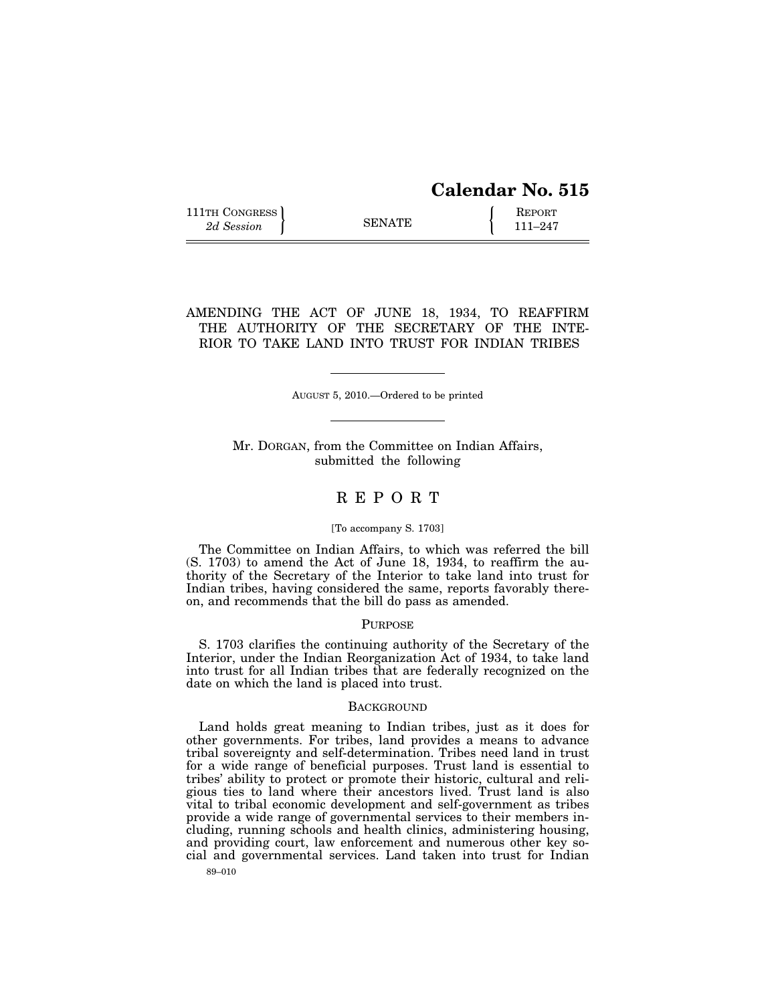# **Calendar No. 515**

111TH CONGRESS **REPORT** 2d Session **111 EXECUTE 111**–247

AMENDING THE ACT OF JUNE 18, 1934, TO REAFFIRM THE AUTHORITY OF THE SECRETARY OF THE INTE-RIOR TO TAKE LAND INTO TRUST FOR INDIAN TRIBES

AUGUST 5, 2010.—Ordered to be printed

Mr. DORGAN, from the Committee on Indian Affairs, submitted the following

## R E P O R T

#### [To accompany S. 1703]

The Committee on Indian Affairs, to which was referred the bill (S. 1703) to amend the Act of June 18, 1934, to reaffirm the authority of the Secretary of the Interior to take land into trust for Indian tribes, having considered the same, reports favorably thereon, and recommends that the bill do pass as amended.

#### PURPOSE

S. 1703 clarifies the continuing authority of the Secretary of the Interior, under the Indian Reorganization Act of 1934, to take land into trust for all Indian tribes that are federally recognized on the date on which the land is placed into trust.

#### **BACKGROUND**

Land holds great meaning to Indian tribes, just as it does for other governments. For tribes, land provides a means to advance tribal sovereignty and self-determination. Tribes need land in trust for a wide range of beneficial purposes. Trust land is essential to tribes' ability to protect or promote their historic, cultural and religious ties to land where their ancestors lived. Trust land is also vital to tribal economic development and self-government as tribes provide a wide range of governmental services to their members including, running schools and health clinics, administering housing, and providing court, law enforcement and numerous other key social and governmental services. Land taken into trust for Indian

89–010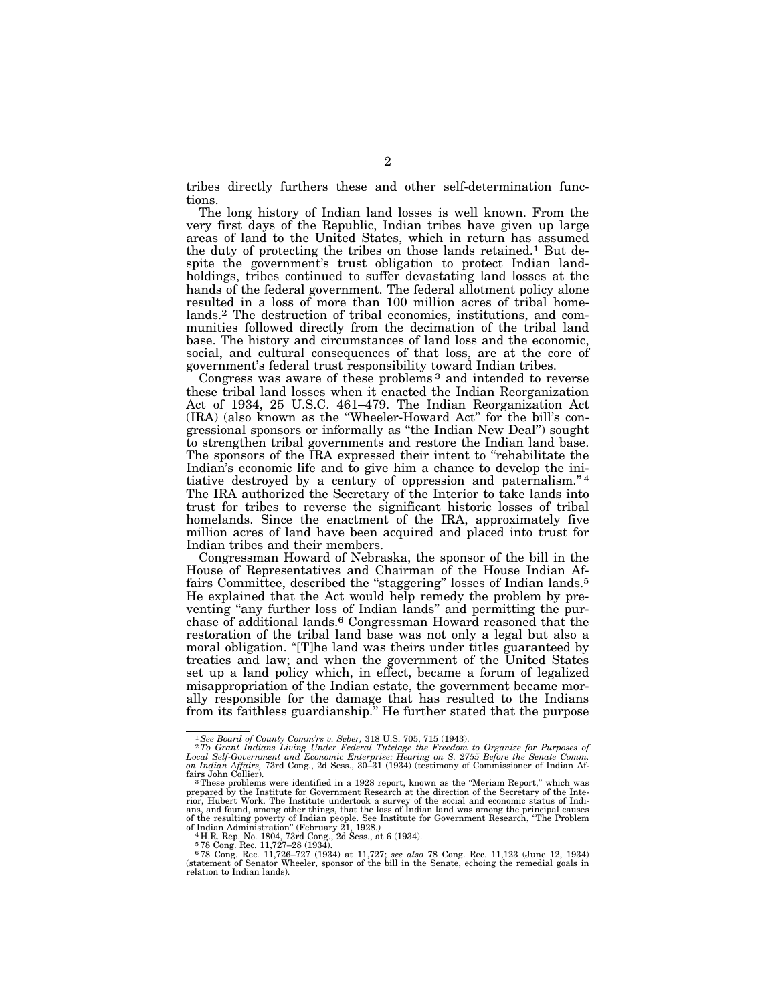tribes directly furthers these and other self-determination functions.

The long history of Indian land losses is well known. From the very first days of the Republic, Indian tribes have given up large areas of land to the United States, which in return has assumed the duty of protecting the tribes on those lands retained.1 But despite the government's trust obligation to protect Indian landholdings, tribes continued to suffer devastating land losses at the hands of the federal government. The federal allotment policy alone resulted in a loss of more than 100 million acres of tribal homelands.2 The destruction of tribal economies, institutions, and communities followed directly from the decimation of the tribal land base. The history and circumstances of land loss and the economic, social, and cultural consequences of that loss, are at the core of government's federal trust responsibility toward Indian tribes.

Congress was aware of these problems 3 and intended to reverse these tribal land losses when it enacted the Indian Reorganization Act of 1934, 25 U.S.C. 461–479. The Indian Reorganization Act (IRA) (also known as the ''Wheeler-Howard Act'' for the bill's congressional sponsors or informally as ''the Indian New Deal'') sought to strengthen tribal governments and restore the Indian land base. The sponsors of the IRA expressed their intent to "rehabilitate the Indian's economic life and to give him a chance to develop the initiative destroyed by a century of oppression and paternalism.'' 4 The IRA authorized the Secretary of the Interior to take lands into trust for tribes to reverse the significant historic losses of tribal homelands. Since the enactment of the IRA, approximately five million acres of land have been acquired and placed into trust for Indian tribes and their members.

Congressman Howard of Nebraska, the sponsor of the bill in the House of Representatives and Chairman of the House Indian Affairs Committee, described the "staggering" losses of Indian lands.<sup>5</sup> He explained that the Act would help remedy the problem by preventing "any further loss of Indian lands" and permitting the purchase of additional lands.6 Congressman Howard reasoned that the restoration of the tribal land base was not only a legal but also a moral obligation. "[T]he land was theirs under titles guaranteed by treaties and law; and when the government of the United States set up a land policy which, in effect, became a forum of legalized misappropriation of the Indian estate, the government became morally responsible for the damage that has resulted to the Indians from its faithless guardianship.'' He further stated that the purpose

<sup>&</sup>lt;sup>1</sup> See Board of County Comm'rs v. Seber, 318 U.S. 705, 715 (1943).<br><sup>2</sup> To Grant Indians Living Under Federal Tutelage the Freedom to Organize for Purposes of<br>Local Self-Government and Economic Enterprise: Hearing on S. 2

fairs John Collier). 3These problems were identified in a 1928 report, known as the ''Meriam Report,'' which was prepared by the Institute for Government Research at the direction of the Secretary of the Interior, Hubert Work. The Institute undertook a survey of the social and economic status of Indi-<br>ans, and found, among other things, that the loss of Indian land was among the principal causes<br>of the resulting poverty of Ind

of Indian Administration'' (February 21, 1928.) 4 H.R. Rep. No. 1804, 73rd Cong., 2d Sess., at 6 (1934). 5 78 Cong. Rec. 11,727–28 (1934).

<sup>6</sup> 78 Cong. Rec. 11,726–727 (1934) at 11,727; *see also* 78 Cong. Rec. 11,123 (June 12, 1934) (statement of Senator Wheeler, sponsor of the bill in the Senate, echoing the remedial goals in relation to Indian lands).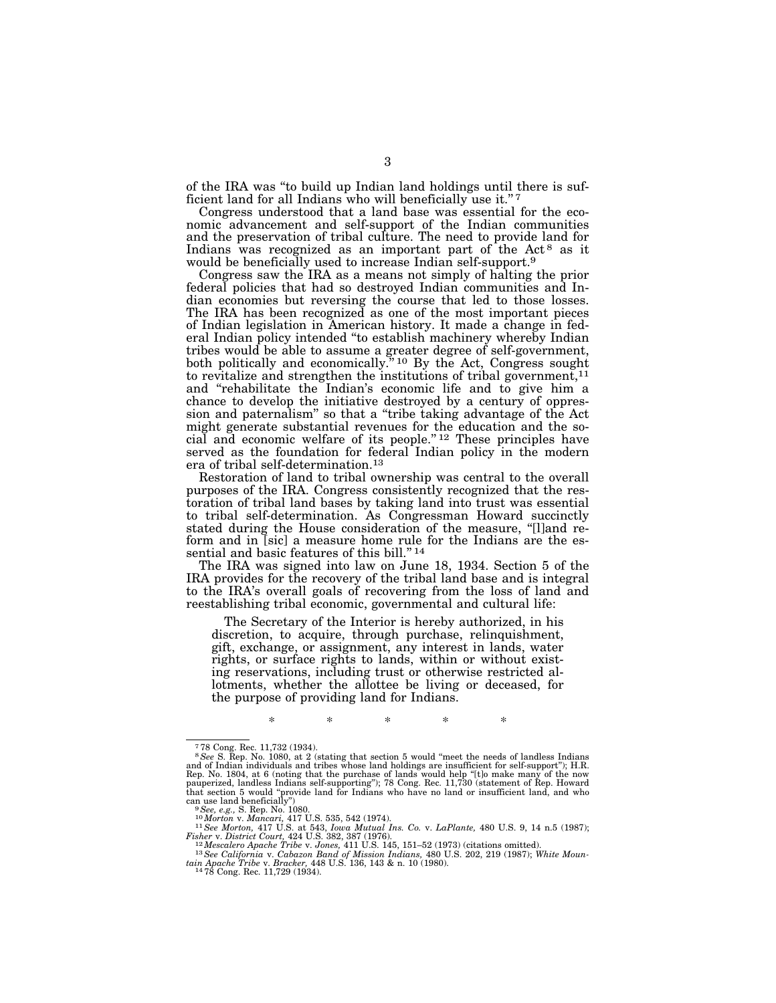of the IRA was ''to build up Indian land holdings until there is sufficient land for all Indians who will beneficially use it."7

Congress understood that a land base was essential for the economic advancement and self-support of the Indian communities and the preservation of tribal culture. The need to provide land for Indians was recognized as an important part of the  $Act^8$  as it would be beneficially used to increase Indian self-support.<sup>9</sup>

Congress saw the IRA as a means not simply of halting the prior federal policies that had so destroyed Indian communities and Indian economies but reversing the course that led to those losses. The IRA has been recognized as one of the most important pieces of Indian legislation in American history. It made a change in federal Indian policy intended ''to establish machinery whereby Indian tribes would be able to assume a greater degree of self-government, both politically and economically.'' 10 By the Act, Congress sought to revitalize and strengthen the institutions of tribal government,  $^{11}$ and ''rehabilitate the Indian's economic life and to give him a chance to develop the initiative destroyed by a century of oppression and paternalism'' so that a ''tribe taking advantage of the Act might generate substantial revenues for the education and the social and economic welfare of its people."<sup>12</sup> These principles have served as the foundation for federal Indian policy in the modern era of tribal self-determination.13

Restoration of land to tribal ownership was central to the overall purposes of the IRA. Congress consistently recognized that the restoration of tribal land bases by taking land into trust was essential to tribal self-determination. As Congressman Howard succinctly stated during the House consideration of the measure, "[l]and reform and in [sic] a measure home rule for the Indians are the essential and basic features of this bill."<sup>14</sup>

The IRA was signed into law on June 18, 1934. Section 5 of the IRA provides for the recovery of the tribal land base and is integral to the IRA's overall goals of recovering from the loss of land and reestablishing tribal economic, governmental and cultural life:

The Secretary of the Interior is hereby authorized, in his discretion, to acquire, through purchase, relinquishment, gift, exchange, or assignment, any interest in lands, water rights, or surface rights to lands, within or without existing reservations, including trust or otherwise restricted allotments, whether the allottee be living or deceased, for the purpose of providing land for Indians.

\* \* \* \* \*

 $778$  Cong. Rec. 11,732 (1934).<br> $8.8e$  S. Rep. No. 1080, at 2 (stating that section 5 would "meet the needs of landless Indians and of Indian individuals and tribes whose land holdings are insufficient for self-support"); Rep. No. 1804, at 6 (noting that the purchase of lands would help "[t]o make many of the now<br>pauperized, landless Indians self-supporting"); 78 Cong. Rec. 11,730 (statement of Rep. Howard<br>that section 5 would "provide land can use land beneficially")<br>  $^{9}$  See, e.g., S. Rep. No. 1080.<br>  $^{10}$  Morton v. Mancari, 417 U.S. 535, 542 (1974).<br>  $^{10}$  Morton v. Mancari, 417 U.S. 535, 542 (1974).<br>  $^{11}$  See Morton, 417 U.S. at 543, Iowa Mutual In

Fisher v. District Court, 424 U.S. 382, 387 (1976).<br><sup>12</sup> Mescalero Apache Tribe v. Jones, 411 U.S. 145, 151–52 (1973) (citations omitted).<br><sup>13</sup> See California v. Cabazon Band of Mission Indians, 480 U.S. 202, 219 (1987); W

*tain Apache Tribe v. Cabazon Band of Mission Indians,* 480 U.S. 202, 219 (1987); White Mountain Apache Tribe v. Bracker, 448 U.S. 136, 143 & n. 10 (1980).<br><sup>14</sup>78 Cong. Rec. 11,729 (1934).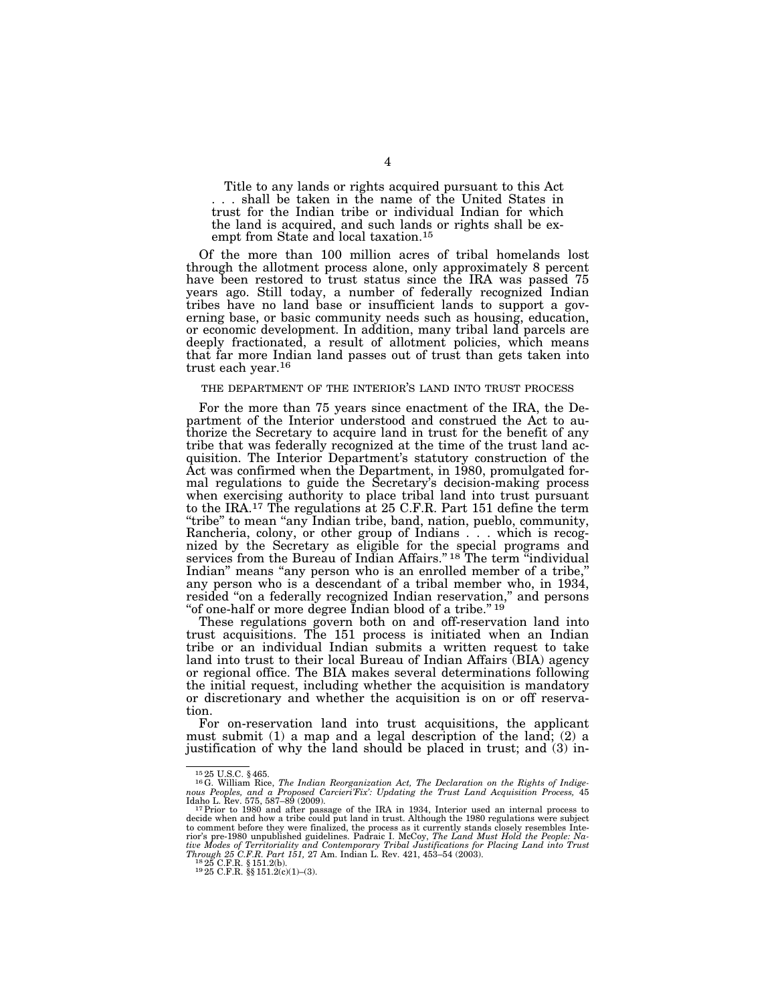Title to any lands or rights acquired pursuant to this Act . . . shall be taken in the name of the United States in trust for the Indian tribe or individual Indian for which the land is acquired, and such lands or rights shall be exempt from State and local taxation.15

Of the more than 100 million acres of tribal homelands lost through the allotment process alone, only approximately 8 percent have been restored to trust status since the IRA was passed 75 years ago. Still today, a number of federally recognized Indian tribes have no land base or insufficient lands to support a governing base, or basic community needs such as housing, education, or economic development. In addition, many tribal land parcels are deeply fractionated, a result of allotment policies, which means that far more Indian land passes out of trust than gets taken into trust each year.16

#### THE DEPARTMENT OF THE INTERIOR'S LAND INTO TRUST PROCESS

For the more than 75 years since enactment of the IRA, the Department of the Interior understood and construed the Act to authorize the Secretary to acquire land in trust for the benefit of any tribe that was federally recognized at the time of the trust land acquisition. The Interior Department's statutory construction of the Act was confirmed when the Department, in 1980, promulgated formal regulations to guide the Secretary's decision-making process when exercising authority to place tribal land into trust pursuant to the IRA.17 The regulations at 25 C.F.R. Part 151 define the term ''tribe'' to mean ''any Indian tribe, band, nation, pueblo, community, Rancheria, colony, or other group of Indians . . . which is recognized by the Secretary as eligible for the special programs and services from the Bureau of Indian Affairs." <sup>18</sup> The term "individual Indian'' means ''any person who is an enrolled member of a tribe,'' any person who is a descendant of a tribal member who, in 1934, resided "on a federally recognized Indian reservation," and persons "of one-half or more degree Indian blood of a tribe."<sup>19</sup>

These regulations govern both on and off-reservation land into trust acquisitions. The 151 process is initiated when an Indian tribe or an individual Indian submits a written request to take land into trust to their local Bureau of Indian Affairs (BIA) agency or regional office. The BIA makes several determinations following the initial request, including whether the acquisition is mandatory or discretionary and whether the acquisition is on or off reservation.

For on-reservation land into trust acquisitions, the applicant must submit (1) a map and a legal description of the land; (2) a justification of why the land should be placed in trust; and (3) in-

<sup>15</sup> 25 U.S.C. § 465. 16G. William Rice, *The Indian Reorganization Act, The Declaration on the Rights of Indige-nous Peoples, and a Proposed Carcieri'Fix': Updating the Trust Land Acquisition Process,* 45

Idaho L. Rev. 575, 587–89 (2009). 17Prior to 1980 and after passage of the IRA in 1934, Interior used an internal process to decide when and how a tribe could put land in trust. Although the 1980 regulations were subject to comment before they were finalized, the process as it currently stands closely resembles Inte-<br>rior's pre-1980 unpublished guidelines. Padraic I. McCoy, The Land Must Hold the People: Na-<br>tive Modes of Territoriality a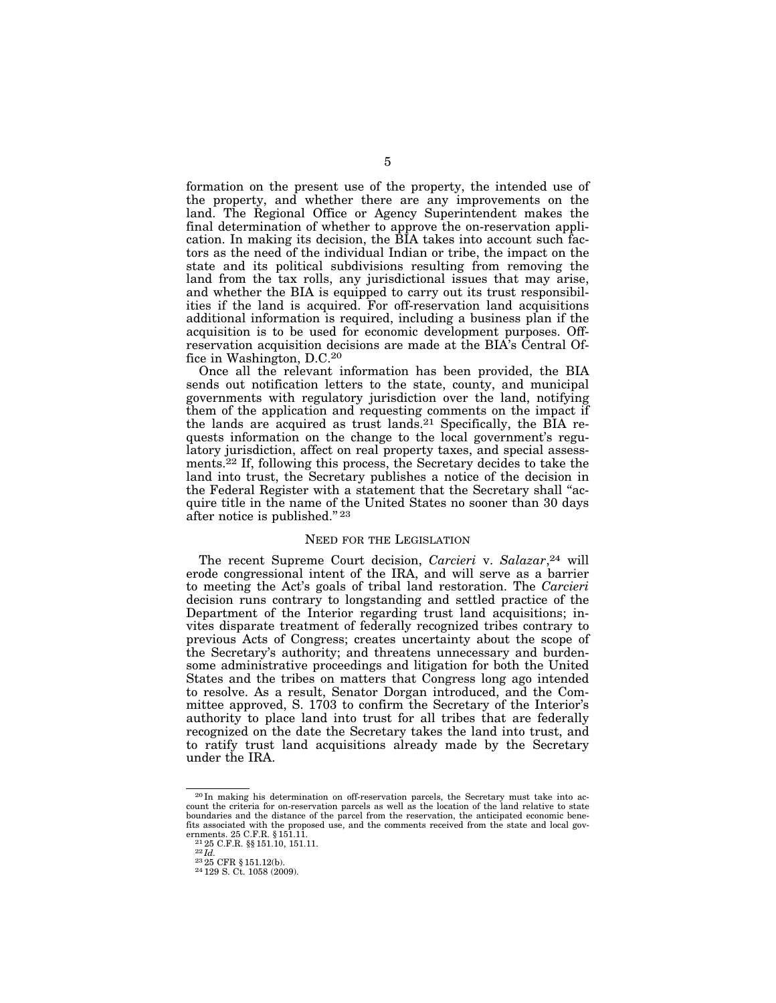formation on the present use of the property, the intended use of the property, and whether there are any improvements on the land. The Regional Office or Agency Superintendent makes the final determination of whether to approve the on-reservation application. In making its decision, the BIA takes into account such factors as the need of the individual Indian or tribe, the impact on the state and its political subdivisions resulting from removing the land from the tax rolls, any jurisdictional issues that may arise, and whether the BIA is equipped to carry out its trust responsibilities if the land is acquired. For off-reservation land acquisitions additional information is required, including a business plan if the acquisition is to be used for economic development purposes. Offreservation acquisition decisions are made at the BIA's Central Office in Washington, D.C.20

Once all the relevant information has been provided, the BIA sends out notification letters to the state, county, and municipal governments with regulatory jurisdiction over the land, notifying them of the application and requesting comments on the impact if the lands are acquired as trust lands.21 Specifically, the BIA requests information on the change to the local government's regulatory jurisdiction, affect on real property taxes, and special assessments.22 If, following this process, the Secretary decides to take the land into trust, the Secretary publishes a notice of the decision in the Federal Register with a statement that the Secretary shall ''acquire title in the name of the United States no sooner than 30 days after notice is published.'' 23

### NEED FOR THE LEGISLATION

The recent Supreme Court decision, *Carcieri* v. *Salazar*,24 will erode congressional intent of the IRA, and will serve as a barrier to meeting the Act's goals of tribal land restoration. The *Carcieri*  decision runs contrary to longstanding and settled practice of the Department of the Interior regarding trust land acquisitions; invites disparate treatment of federally recognized tribes contrary to previous Acts of Congress; creates uncertainty about the scope of the Secretary's authority; and threatens unnecessary and burdensome administrative proceedings and litigation for both the United States and the tribes on matters that Congress long ago intended to resolve. As a result, Senator Dorgan introduced, and the Committee approved, S. 1703 to confirm the Secretary of the Interior's authority to place land into trust for all tribes that are federally recognized on the date the Secretary takes the land into trust, and to ratify trust land acquisitions already made by the Secretary under the IRA.

<sup>20</sup> In making his determination on off-reservation parcels, the Secretary must take into account the criteria for on-reservation parcels as well as the location of the land relative to state boundaries and the distance of the parcel from the reservation, the anticipated economic benefits associated with the proposed use, and the comments received from the state and local gov-

ernments. 25 C.F.R. § 151.11. 21 25 C.F.R. §§ 151.10, 151.11. 22 *Id.* <sup>23</sup> 25 CFR § 151.12(b). 24 129 S. Ct. 1058 (2009).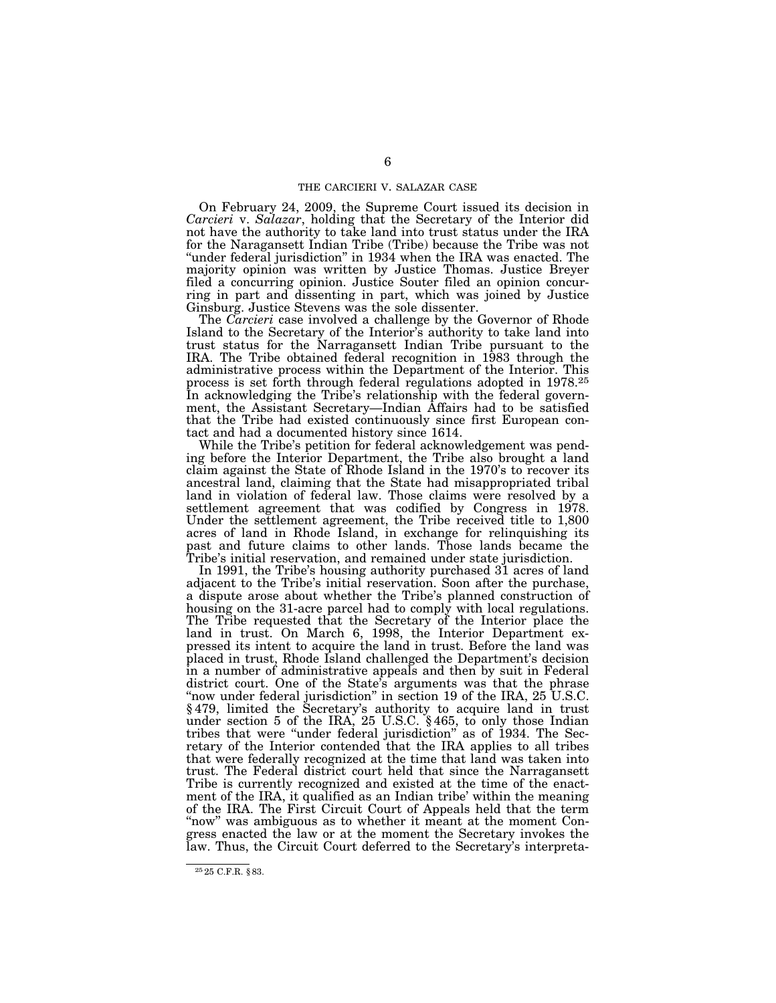On February 24, 2009, the Supreme Court issued its decision in *Carcieri* v. *Salazar*, holding that the Secretary of the Interior did not have the authority to take land into trust status under the IRA for the Naragansett Indian Tribe (Tribe) because the Tribe was not "under federal jurisdiction" in 1934 when the IRA was enacted. The majority opinion was written by Justice Thomas. Justice Breyer filed a concurring opinion. Justice Souter filed an opinion concurring in part and dissenting in part, which was joined by Justice Ginsburg. Justice Stevens was the sole dissenter.

The *Carcieri* case involved a challenge by the Governor of Rhode Island to the Secretary of the Interior's authority to take land into trust status for the Narragansett Indian Tribe pursuant to the IRA. The Tribe obtained federal recognition in 1983 through the administrative process within the Department of the Interior. This process is set forth through federal regulations adopted in 1978.25 In acknowledging the Tribe's relationship with the federal government, the Assistant Secretary—Indian Affairs had to be satisfied that the Tribe had existed continuously since first European contact and had a documented history since 1614.

While the Tribe's petition for federal acknowledgement was pending before the Interior Department, the Tribe also brought a land claim against the State of Rhode Island in the 1970's to recover its ancestral land, claiming that the State had misappropriated tribal land in violation of federal law. Those claims were resolved by a settlement agreement that was codified by Congress in 1978. Under the settlement agreement, the Tribe received title to 1,800 acres of land in Rhode Island, in exchange for relinquishing its past and future claims to other lands. Those lands became the Tribe's initial reservation, and remained under state jurisdiction.

In 1991, the Tribe's housing authority purchased 31 acres of land adjacent to the Tribe's initial reservation. Soon after the purchase, a dispute arose about whether the Tribe's planned construction of housing on the 31-acre parcel had to comply with local regulations. The Tribe requested that the Secretary of the Interior place the land in trust. On March 6, 1998, the Interior Department expressed its intent to acquire the land in trust. Before the land was placed in trust, Rhode Island challenged the Department's decision in a number of administrative appeals and then by suit in Federal district court. One of the State's arguments was that the phrase "now under federal jurisdiction" in section 19 of the IRA, 25 U.S.C. § 479, limited the Secretary's authority to acquire land in trust under section 5 of the IRA, 25 U.S.C. § 465, to only those Indian tribes that were ''under federal jurisdiction'' as of 1934. The Secretary of the Interior contended that the IRA applies to all tribes that were federally recognized at the time that land was taken into trust. The Federal district court held that since the Narragansett Tribe is currently recognized and existed at the time of the enactment of the IRA, it qualified as an Indian tribe' within the meaning of the IRA. The First Circuit Court of Appeals held that the term "now" was ambiguous as to whether it meant at the moment Congress enacted the law or at the moment the Secretary invokes the law. Thus, the Circuit Court deferred to the Secretary's interpreta-

<sup>25</sup> 25 C.F.R. § 83.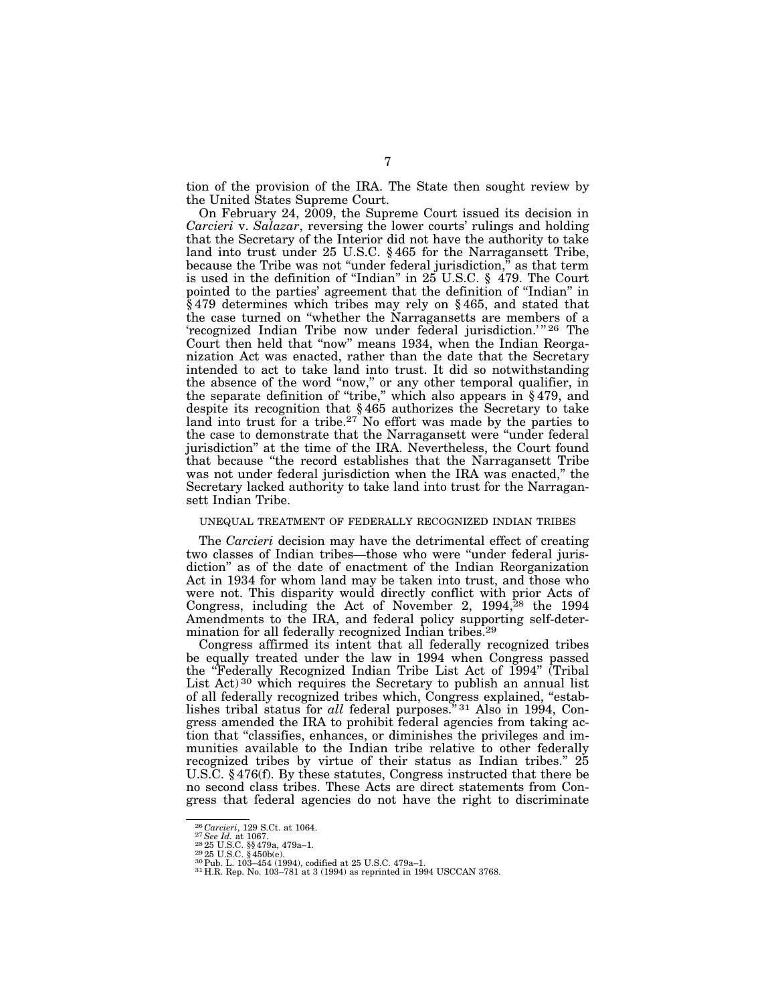tion of the provision of the IRA. The State then sought review by the United States Supreme Court.

On February 24, 2009, the Supreme Court issued its decision in *Carcieri* v. *Salazar*, reversing the lower courts' rulings and holding that the Secretary of the Interior did not have the authority to take land into trust under 25 U.S.C. § 465 for the Narragansett Tribe, because the Tribe was not ''under federal jurisdiction,'' as that term is used in the definition of ''Indian'' in 25 U.S.C. § 479. The Court pointed to the parties' agreement that the definition of ''Indian'' in § 479 determines which tribes may rely on § 465, and stated that the case turned on ''whether the Narragansetts are members of a 'recognized Indian Tribe now under federal jurisdiction.'" 26 The Court then held that "now" means 1934, when the Indian Reorganization Act was enacted, rather than the date that the Secretary intended to act to take land into trust. It did so notwithstanding the absence of the word "now," or any other temporal qualifier, in the separate definition of ''tribe,'' which also appears in § 479, and despite its recognition that § 465 authorizes the Secretary to take land into trust for a tribe.<sup>27</sup> No effort was made by the parties to the case to demonstrate that the Narragansett were ''under federal jurisdiction'' at the time of the IRA. Nevertheless, the Court found that because ''the record establishes that the Narragansett Tribe was not under federal jurisdiction when the IRA was enacted,'' the Secretary lacked authority to take land into trust for the Narragansett Indian Tribe.

#### UNEQUAL TREATMENT OF FEDERALLY RECOGNIZED INDIAN TRIBES

The *Carcieri* decision may have the detrimental effect of creating two classes of Indian tribes—those who were ''under federal jurisdiction'' as of the date of enactment of the Indian Reorganization Act in 1934 for whom land may be taken into trust, and those who were not. This disparity would directly conflict with prior Acts of Congress, including the Act of November 2, 1994,<sup>28</sup> the 1994 Amendments to the IRA, and federal policy supporting self-determination for all federally recognized Indian tribes.<sup>29</sup>

Congress affirmed its intent that all federally recognized tribes be equally treated under the law in 1994 when Congress passed the ''Federally Recognized Indian Tribe List Act of 1994'' (Tribal List Act) 30 which requires the Secretary to publish an annual list of all federally recognized tribes which, Congress explained, "establishes tribal status for *all* federal purposes."<sup>31</sup> Also in 1994, Congress amended the IRA to prohibit federal agencies from taking action that ''classifies, enhances, or diminishes the privileges and immunities available to the Indian tribe relative to other federally recognized tribes by virtue of their status as Indian tribes.'' 25 U.S.C. § 476(f). By these statutes, Congress instructed that there be no second class tribes. These Acts are direct statements from Congress that federal agencies do not have the right to discriminate

 $^{26}\mbox{Carcieri},$  129 S.Ct. at 1064. <br> $^{27}\mbox{See Id. at 1067}$  at 1067. <br> $^{28}\mbox{25 U.S.C. $8479a, 479a-1}.$  <br> $^{28}\mbox{25 U.S.C. $450b(e).}$  <br> $^{30}\mbox{Pub. L. 103-454 (1994), codified at 25 U.S.C. 479a-1}.$   $^{31}\mbox{H.R. Rep. No. 103-781 at 3 (1994) as reprinted in 1994 USCCAN 3768.}$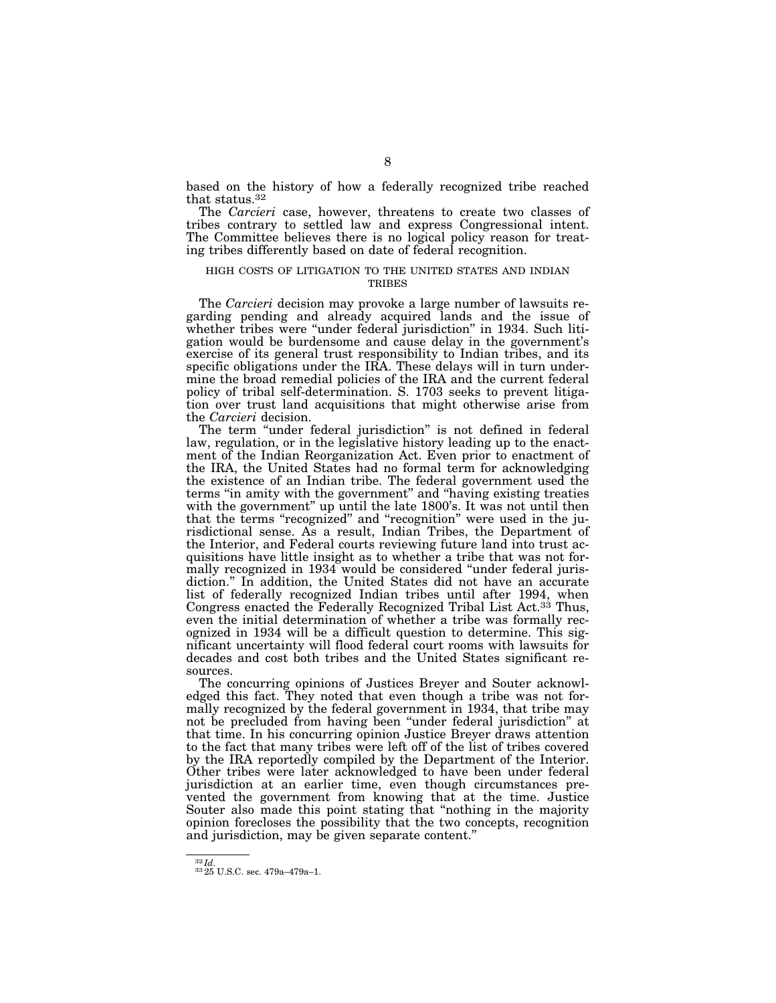based on the history of how a federally recognized tribe reached that status.32

The *Carcieri* case, however, threatens to create two classes of tribes contrary to settled law and express Congressional intent. The Committee believes there is no logical policy reason for treating tribes differently based on date of federal recognition.

#### HIGH COSTS OF LITIGATION TO THE UNITED STATES AND INDIAN **TRIBES**

The *Carcieri* decision may provoke a large number of lawsuits regarding pending and already acquired lands and the issue of whether tribes were "under federal jurisdiction" in 1934. Such litigation would be burdensome and cause delay in the government's exercise of its general trust responsibility to Indian tribes, and its specific obligations under the IRA. These delays will in turn undermine the broad remedial policies of the IRA and the current federal policy of tribal self-determination. S. 1703 seeks to prevent litigation over trust land acquisitions that might otherwise arise from the *Carcieri* decision.

The term "under federal jurisdiction" is not defined in federal law, regulation, or in the legislative history leading up to the enactment of the Indian Reorganization Act. Even prior to enactment of the IRA, the United States had no formal term for acknowledging the existence of an Indian tribe. The federal government used the terms ''in amity with the government'' and ''having existing treaties with the government" up until the late 1800's. It was not until then that the terms "recognized" and "recognition" were used in the jurisdictional sense. As a result, Indian Tribes, the Department of the Interior, and Federal courts reviewing future land into trust acquisitions have little insight as to whether a tribe that was not formally recognized in 1934 would be considered ''under federal jurisdiction.'' In addition, the United States did not have an accurate list of federally recognized Indian tribes until after 1994, when Congress enacted the Federally Recognized Tribal List Act.<sup>33</sup> Thus, even the initial determination of whether a tribe was formally recognized in 1934 will be a difficult question to determine. This significant uncertainty will flood federal court rooms with lawsuits for decades and cost both tribes and the United States significant resources.

The concurring opinions of Justices Breyer and Souter acknowledged this fact. They noted that even though a tribe was not formally recognized by the federal government in 1934, that tribe may not be precluded from having been ''under federal jurisdiction'' at that time. In his concurring opinion Justice Breyer draws attention to the fact that many tribes were left off of the list of tribes covered by the IRA reportedly compiled by the Department of the Interior. Other tribes were later acknowledged to have been under federal jurisdiction at an earlier time, even though circumstances prevented the government from knowing that at the time. Justice Souter also made this point stating that ''nothing in the majority opinion forecloses the possibility that the two concepts, recognition and jurisdiction, may be given separate content.''

 $^{32}Id.$   $^{33}25$  U.S.C. sec. 479a–479a–1.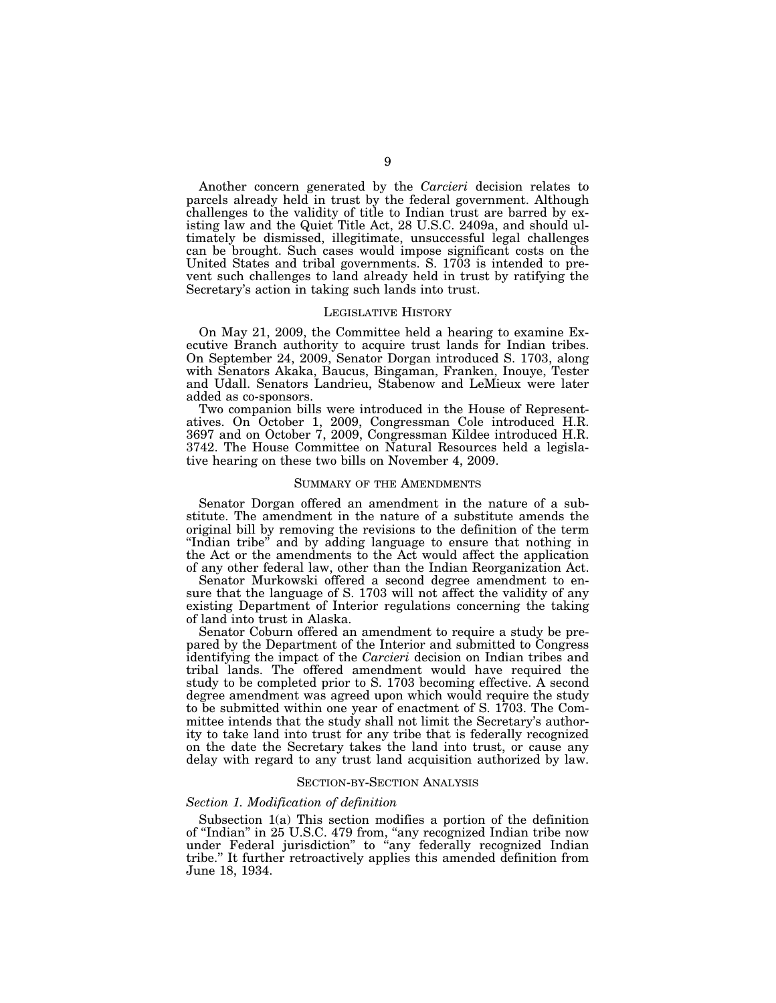Another concern generated by the *Carcieri* decision relates to parcels already held in trust by the federal government. Although challenges to the validity of title to Indian trust are barred by existing law and the Quiet Title Act, 28 U.S.C. 2409a, and should ultimately be dismissed, illegitimate, unsuccessful legal challenges can be brought. Such cases would impose significant costs on the United States and tribal governments. S. 1703 is intended to prevent such challenges to land already held in trust by ratifying the Secretary's action in taking such lands into trust.

#### LEGISLATIVE HISTORY

On May 21, 2009, the Committee held a hearing to examine Executive Branch authority to acquire trust lands for Indian tribes. On September 24, 2009, Senator Dorgan introduced S. 1703, along with Senators Akaka, Baucus, Bingaman, Franken, Inouye, Tester and Udall. Senators Landrieu, Stabenow and LeMieux were later added as co-sponsors.

Two companion bills were introduced in the House of Representatives. On October 1, 2009, Congressman Cole introduced H.R. 3697 and on October 7, 2009, Congressman Kildee introduced H.R. 3742. The House Committee on Natural Resources held a legislative hearing on these two bills on November 4, 2009.

#### SUMMARY OF THE AMENDMENTS

Senator Dorgan offered an amendment in the nature of a substitute. The amendment in the nature of a substitute amends the original bill by removing the revisions to the definition of the term "Indian tribe" and by adding language to ensure that nothing in the Act or the amendments to the Act would affect the application of any other federal law, other than the Indian Reorganization Act.

Senator Murkowski offered a second degree amendment to ensure that the language of S. 1703 will not affect the validity of any existing Department of Interior regulations concerning the taking of land into trust in Alaska.

Senator Coburn offered an amendment to require a study be prepared by the Department of the Interior and submitted to Congress identifying the impact of the *Carcieri* decision on Indian tribes and tribal lands. The offered amendment would have required the study to be completed prior to S. 1703 becoming effective. A second degree amendment was agreed upon which would require the study to be submitted within one year of enactment of S. 1703. The Committee intends that the study shall not limit the Secretary's authority to take land into trust for any tribe that is federally recognized on the date the Secretary takes the land into trust, or cause any delay with regard to any trust land acquisition authorized by law.

#### SECTION-BY-SECTION ANALYSIS

#### *Section 1. Modification of definition*

Subsection 1(a) This section modifies a portion of the definition of ''Indian'' in 25 U.S.C. 479 from, ''any recognized Indian tribe now under Federal jurisdiction'' to ''any federally recognized Indian tribe.'' It further retroactively applies this amended definition from June 18, 1934.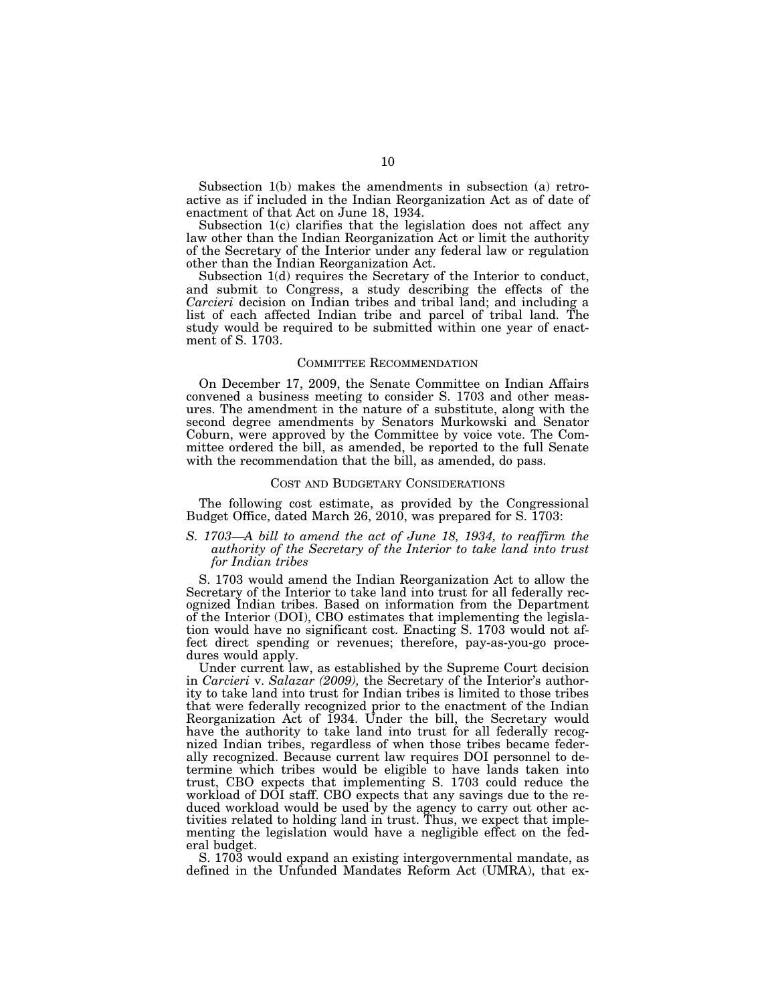Subsection 1(b) makes the amendments in subsection (a) retroactive as if included in the Indian Reorganization Act as of date of enactment of that Act on June 18, 1934.

Subsection 1(c) clarifies that the legislation does not affect any law other than the Indian Reorganization Act or limit the authority of the Secretary of the Interior under any federal law or regulation other than the Indian Reorganization Act.

Subsection 1(d) requires the Secretary of the Interior to conduct, and submit to Congress, a study describing the effects of the *Carcieri* decision on Indian tribes and tribal land; and including a list of each affected Indian tribe and parcel of tribal land. The study would be required to be submitted within one year of enactment of S. 1703.

#### COMMITTEE RECOMMENDATION

On December 17, 2009, the Senate Committee on Indian Affairs convened a business meeting to consider S. 1703 and other measures. The amendment in the nature of a substitute, along with the second degree amendments by Senators Murkowski and Senator Coburn, were approved by the Committee by voice vote. The Committee ordered the bill, as amended, be reported to the full Senate with the recommendation that the bill, as amended, do pass.

#### COST AND BUDGETARY CONSIDERATIONS

The following cost estimate, as provided by the Congressional Budget Office, dated March 26, 2010, was prepared for S. 1703:

#### *S.* 1703—A bill to amend the act of June 18, 1934, to reaffirm the *authority of the Secretary of the Interior to take land into trust for Indian tribes*

S. 1703 would amend the Indian Reorganization Act to allow the Secretary of the Interior to take land into trust for all federally recognized Indian tribes. Based on information from the Department of the Interior (DOI), CBO estimates that implementing the legislation would have no significant cost. Enacting S. 1703 would not affect direct spending or revenues; therefore, pay-as-you-go procedures would apply.

Under current law, as established by the Supreme Court decision in *Carcieri* v. *Salazar (2009),* the Secretary of the Interior's authority to take land into trust for Indian tribes is limited to those tribes that were federally recognized prior to the enactment of the Indian Reorganization Act of 1934. Under the bill, the Secretary would have the authority to take land into trust for all federally recognized Indian tribes, regardless of when those tribes became federally recognized. Because current law requires DOI personnel to determine which tribes would be eligible to have lands taken into trust, CBO expects that implementing S. 1703 could reduce the workload of DOI staff. CBO expects that any savings due to the reduced workload would be used by the agency to carry out other activities related to holding land in trust. Thus, we expect that implementing the legislation would have a negligible effect on the federal budget.

S. 1703 would expand an existing intergovernmental mandate, as defined in the Unfunded Mandates Reform Act (UMRA), that ex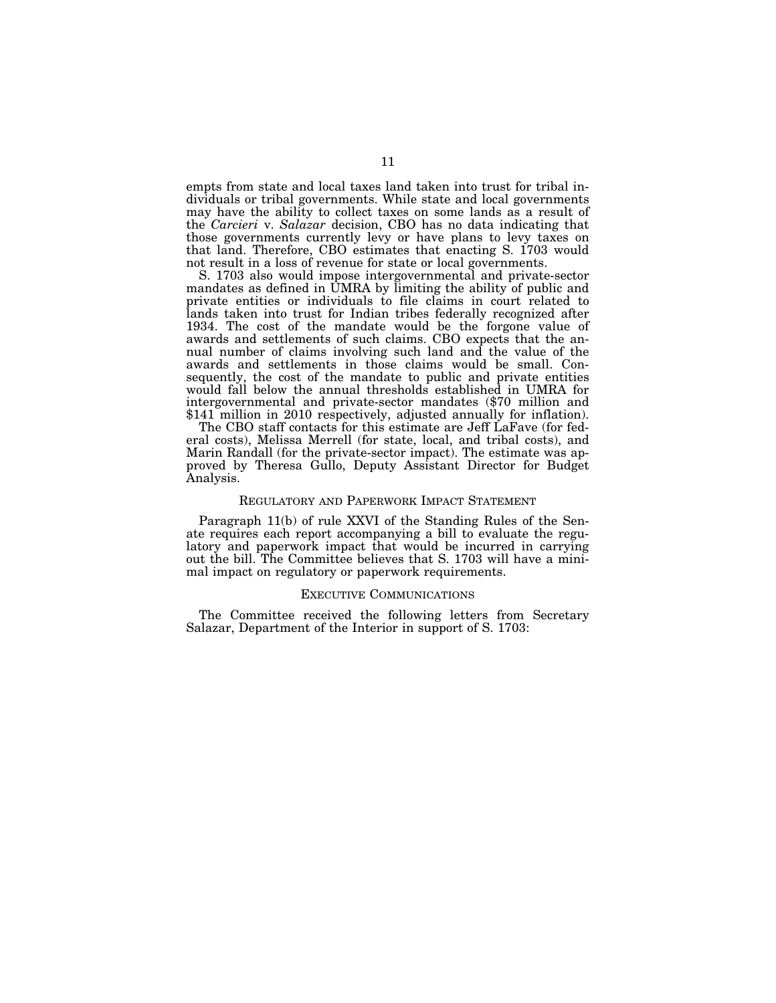empts from state and local taxes land taken into trust for tribal individuals or tribal governments. While state and local governments may have the ability to collect taxes on some lands as a result of the *Carcieri* v. *Salazar* decision, CBO has no data indicating that those governments currently levy or have plans to levy taxes on that land. Therefore, CBO estimates that enacting S. 1703 would not result in a loss of revenue for state or local governments.

S. 1703 also would impose intergovernmental and private-sector mandates as defined in UMRA by limiting the ability of public and private entities or individuals to file claims in court related to lands taken into trust for Indian tribes federally recognized after 1934. The cost of the mandate would be the forgone value of awards and settlements of such claims. CBO expects that the annual number of claims involving such land and the value of the awards and settlements in those claims would be small. Consequently, the cost of the mandate to public and private entities would fall below the annual thresholds established in UMRA for intergovernmental and private-sector mandates (\$70 million and \$141 million in 2010 respectively, adjusted annually for inflation).

The CBO staff contacts for this estimate are Jeff LaFave (for federal costs), Melissa Merrell (for state, local, and tribal costs), and Marin Randall (for the private-sector impact). The estimate was approved by Theresa Gullo, Deputy Assistant Director for Budget Analysis.

#### REGULATORY AND PAPERWORK IMPACT STATEMENT

Paragraph 11(b) of rule XXVI of the Standing Rules of the Senate requires each report accompanying a bill to evaluate the regulatory and paperwork impact that would be incurred in carrying out the bill. The Committee believes that S. 1703 will have a minimal impact on regulatory or paperwork requirements.

#### EXECUTIVE COMMUNICATIONS

The Committee received the following letters from Secretary Salazar, Department of the Interior in support of S. 1703: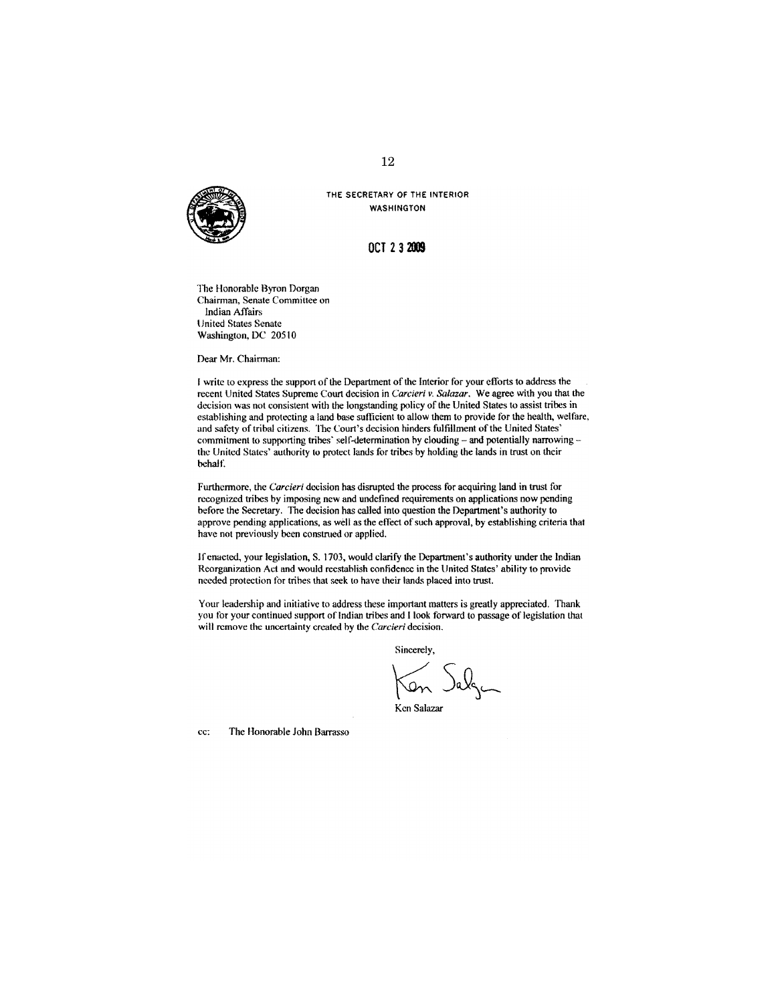

THE SECRETARY OF THE INTERIOR **WASHINGTON** 

### OCT 2 3 2009

The Honorable Byron Dorgan Chairman, Senate Committee on **Indian Affairs United States Senate** Washington, DC 20510

Dear Mr. Chairman:

I write to express the support of the Department of the Interior for your efforts to address the recent United States Supreme Court decision in Carcieri v. Salazar. We agree with you that the decision was not consistent with the longstanding policy of the United States to assist tribes in establishing and protecting a land base sufficient to allow them to provide for the health, welfare, and safety of tribal citizens. The Court's decision hinders fulfillment of the United States' commitment to supporting tribes' self-determination by clouding - and potentially narrowing the United States' authority to protect lands for tribes by holding the lands in trust on their behalf.

Furthermore, the Carcieri decision has disrupted the process for acquiring land in trust for recognized tribes by imposing new and undefined requirements on applications now pending before the Secretary. The decision has called into question the Department's authority to approve pending applications, as well as the effect of such approval, by establishing criteria that have not previously been construed or applied.

If enacted, your legislation, S. 1703, would clarify the Department's authority under the Indian Reorganization Act and would recstablish confidence in the United States' ability to provide needed protection for tribes that seek to have their lands placed into trust.

Your leadership and initiative to address these important matters is greatly appreciated. Thank you for your continued support of Indian tribes and I look forward to passage of legislation that will remove the uncertainty created by the Carcieri decision.

Sincerely,

Ken Jalgen

Ken Salazar

cc: The Honorable John Barrasso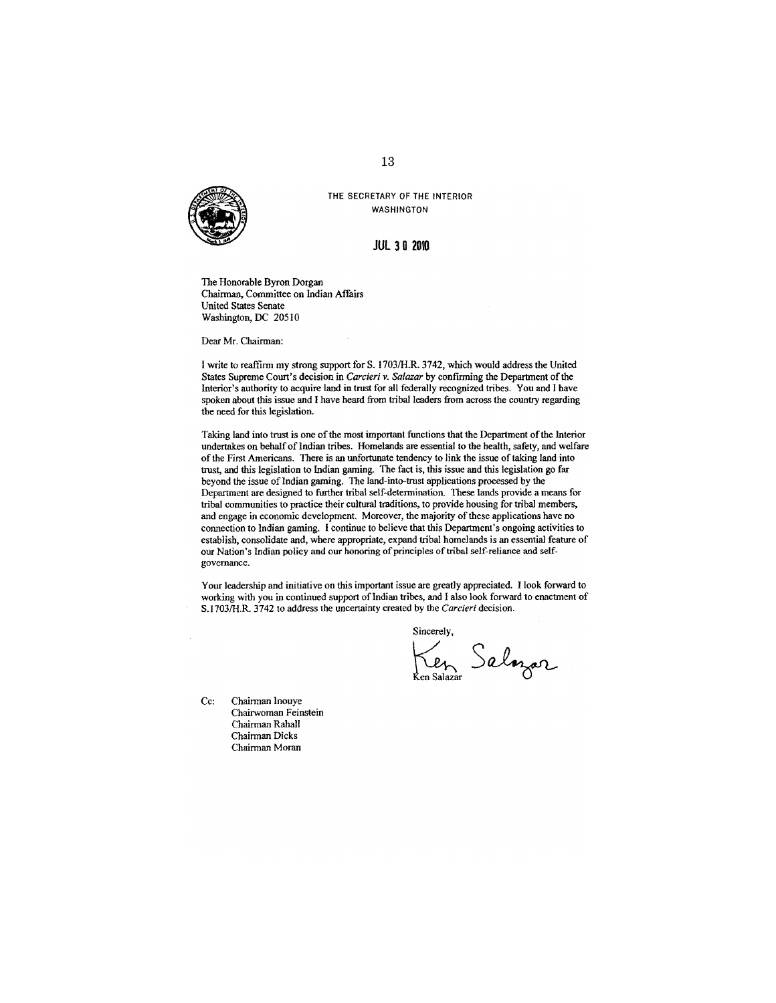

# **JUL 30 2010**

THE SECRETARY OF THE INTERIOR **WASHINGTON** 

The Honorable Byron Dorgan Chairman, Committee on Indian Affairs **United States Senate** Washington, DC 20510

Dear Mr. Chairman:

I write to reaffirm my strong support for S. 1703/H.R. 3742, which would address the United States Supreme Court's decision in Carcieri v. Salazar by confirming the Department of the Interior's authority to acquire land in trust for all federally recognized tribes. You and I have spoken about this issue and I have heard from tribal leaders from across the country regarding the need for this legislation.

Taking land into trust is one of the most important functions that the Department of the Interior undertakes on behalf of Indian tribes. Homelands are essential to the health, safety, and welfare of the First Americans. There is an unfortunate tendency to link the issue of taking land into trust, and this legislation to Indian gaming. The fact is, this issue and this legislation go far beyond the issue of Indian gaming. The land-into-trust applications processed by the Department are designed to further tribal self-determination. These lands provide a means for tribal communities to practice their cultural traditions, to provide housing for tribal members, and engage in economic development. Moreover, the majority of these applications have no connection to Indian gaming. I continue to believe that this Department's ongoing activities to establish, consolidate and, where appropriate, expand tribal homelands is an essential feature of our Nation's Indian policy and our honoring of principles of tribal self-reliance and selfgovernance.

Your leadership and initiative on this important issue are greatly appreciated. I look forward to working with you in continued support of Indian tribes, and I also look forward to enactment of S.1703/H.R. 3742 to address the uncertainty created by the Carcieri decision.

Sincerely, Ken Salozar

Cc: Chairman Inouye Chairwoman Feinstein Chairman Rahall Chairman Dicks Chairman Moran

13